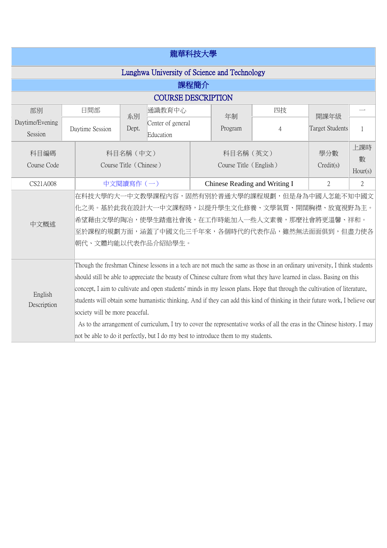| 龍華科技大學                                       |                                                                                                                                                                                                                                                                                                                                                                                                                                                                                                                                                                                                                                                                                                                                                                      |                                                                                                                                                                                                                             |       |                                     |  |                                     |                |                  |                     |
|----------------------------------------------|----------------------------------------------------------------------------------------------------------------------------------------------------------------------------------------------------------------------------------------------------------------------------------------------------------------------------------------------------------------------------------------------------------------------------------------------------------------------------------------------------------------------------------------------------------------------------------------------------------------------------------------------------------------------------------------------------------------------------------------------------------------------|-----------------------------------------------------------------------------------------------------------------------------------------------------------------------------------------------------------------------------|-------|-------------------------------------|--|-------------------------------------|----------------|------------------|---------------------|
| Lunghwa University of Science and Technology |                                                                                                                                                                                                                                                                                                                                                                                                                                                                                                                                                                                                                                                                                                                                                                      |                                                                                                                                                                                                                             |       |                                     |  |                                     |                |                  |                     |
| 課程簡介                                         |                                                                                                                                                                                                                                                                                                                                                                                                                                                                                                                                                                                                                                                                                                                                                                      |                                                                                                                                                                                                                             |       |                                     |  |                                     |                |                  |                     |
| <b>COURSE DESCRIPTION</b>                    |                                                                                                                                                                                                                                                                                                                                                                                                                                                                                                                                                                                                                                                                                                                                                                      |                                                                                                                                                                                                                             |       |                                     |  |                                     |                |                  |                     |
| 部別                                           |                                                                                                                                                                                                                                                                                                                                                                                                                                                                                                                                                                                                                                                                                                                                                                      | 日間部                                                                                                                                                                                                                         | 系別    | 通識教育中心                              |  | 年制                                  | 四技             | 開課年級             |                     |
| Daytime/Evening<br>Session                   |                                                                                                                                                                                                                                                                                                                                                                                                                                                                                                                                                                                                                                                                                                                                                                      | Daytime Session                                                                                                                                                                                                             | Dept. | Center of general<br>Education      |  | Program                             | 4              | Target Students  |                     |
| 科目編碼<br>Course Code                          |                                                                                                                                                                                                                                                                                                                                                                                                                                                                                                                                                                                                                                                                                                                                                                      |                                                                                                                                                                                                                             |       | 科目名稱 (中文)<br>Course Title (Chinese) |  | 科目名稱 (英文)<br>Course Title (English) |                | 學分數<br>Credit(s) | 上課時<br>數<br>Hour(s) |
| CS21A008                                     |                                                                                                                                                                                                                                                                                                                                                                                                                                                                                                                                                                                                                                                                                                                                                                      | 中文閱讀寫作(一)                                                                                                                                                                                                                   |       | Chinese Reading and Writing I       |  | $\overline{2}$                      | $\overline{2}$ |                  |                     |
| 中文概述                                         |                                                                                                                                                                                                                                                                                                                                                                                                                                                                                                                                                                                                                                                                                                                                                                      | 在科技大學的大一中文教學課程內容,固然有別於普通大學的課程規劃,但是身為中國人怎能不知中國文 <br>化之美。基於此我在設計大一中文課程時,以提升學生文化修養、文學氣質、開闊胸襟、放寬視野為主。<br> 希望藉由文學的陶冶,使學生踏進社會後,在工作時能加入一些人文素養,那麼社會將更溫馨、祥和。<br>至於課程的規劃方面,涵蓋了中國文化三千年來,各個時代的代表作品,雖然無法面面俱到,但盡力使各<br>朝代、文體均能以代表作品介紹給學生。 |       |                                     |  |                                     |                |                  |                     |
| English<br>Description                       | Though the freshman Chinese lessons in a tech are not much the same as those in an ordinary university, I think students<br>should still be able to appreciate the beauty of Chinese culture from what they have learned in class. Basing on this<br>concept, I aim to cultivate and open students' minds in my lesson plans. Hope that through the cultivation of literature,<br>students will obtain some humanistic thinking. And if they can add this kind of thinking in their future work, I believe our<br>society will be more peaceful.<br>As to the arrangement of curriculum, I try to cover the representative works of all the eras in the Chinese history. I may<br>not be able to do it perfectly, but I do my best to introduce them to my students. |                                                                                                                                                                                                                             |       |                                     |  |                                     |                |                  |                     |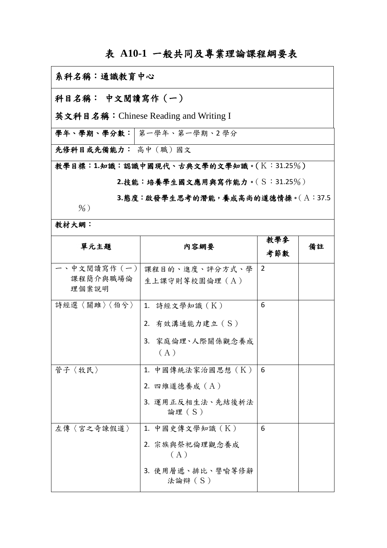## 表 **A10-1** 一般共同及專業理論課程綱要表

## 系科名稱:通識教育中心 科目名稱: 中文閱讀寫作(一) 英文科目名稱:Chinese Reading and Writing I 學年、學期、學分數: 第一學年、第一學期、2學分 先修科目或先備能力: 高中(職)國文 教學目標:**1.**知識:認識中國現代、古典文學的文學知識。(K:31.25%) **2.**技能:培養學生國文應用與寫作能力。(S:31.25%)

**3.**態度:啟發學生思考的潛能,養成高尚的道德情操。(A:37.5

教材大網:

 $\frac{9}{6}$ )

| 單元主題                            | 内容網要                                                                    | 教學參<br>考節數     | 備註 |
|---------------------------------|-------------------------------------------------------------------------|----------------|----|
| 、中文閱讀寫作(一)<br>課程簡介與職場倫<br>理個案說明 | 課程目的、進度、評分方式、學<br>生上課守則等校園倫理 (A)                                        | $\overline{2}$ |    |
| 詩經選〈關雎〉〈伯兮〉                     | 1. 詩經文學知識 (K)<br>2. 有效溝通能力建立 (S)<br>3. 家庭倫理、人際關係觀念養成<br>(A)             | 6              |    |
| 管子〈牧民〉                          | 1. 中國傳統法家治國思想 (K)<br>2. 四維道德養成 (A)<br>3. 運用正反相生法、先結後析法<br>論理 (S)        | 6              |    |
| 左傳〈宮之奇諫假道〉                      | 1. 中國史傳文學知識 (K)<br>2. 宗族與祭祀倫理觀念養成<br>(A)<br>3. 使用層遞、排比、譬喻等修辭<br>法論辯 (S) | 6              |    |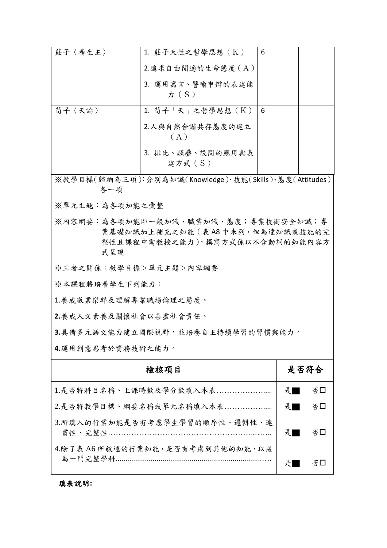| 莊子〈養生主〉 | 1. 莊子天性之哲學思想 (K)<br>2.追求自由閒適的生命態度 (A) | 6 |  |
|---------|---------------------------------------|---|--|
|         | 3. 運用寓言、譬喻申辩的表達能<br>$\pi(S)$          |   |  |
| 荀子〈天論〉  | 1. 荀子「天」之哲學思想(K)                      | 6 |  |
|         | 2.人與自然合諧共存態度的建立<br>(A)                |   |  |
|         | 3. 排比、類疊、設問的應用與表<br>達方式 (S)           |   |  |

※教學目標(歸納為三項):分別為知識(Knowledge)、技能(Skills)、態度(Attitudes) 各一項

※單元主題:為各項知能之彙整

※內容網要:為各項知能即一般知識、職業知識、態度;專業技術安全知識;專 業基礎知識加上補充之知能(表 A8 中未列,但為達知識或技能的完 整性且課程中需教授之能力),撰寫方式係以不含動詞的知能內容方 式呈現

※三者之關係:教學目標>單元主題>內容網要

※本課程將培養學生下列能力:

1.養成敬業樂群及理解專業職場倫理之態度。

**2.**養成人文素養及關懷社會以善盡社會責任。

**3.**具備多元語文能力建立國際視野,並培養自主持續學習的習慣與能力。

**4.**運用創意思考於實務技術之能力。

| 檢核項目                             | 是否符合 |            |
|----------------------------------|------|------------|
| 1.是否將科目名稱、上課時數及學分數填入本表           | 是    | 否口         |
| 2.是否將教學目標、綱要名稱或單元名稱填入本表          | 是    | 否□         |
| 3.所填入的行業知能是否有考慮學生學習的順序性、邏輯性、連    | 是    | る ロット こうしゃ |
| 4.除了表 A6 所敘述的行業知能,是否有考慮到其他的知能,以成 |      | 조니         |

填表說明**:**